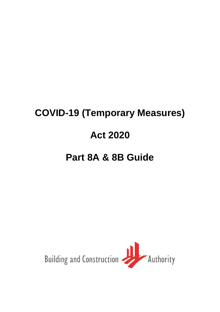# **COVID-19 (Temporary Measures) Act 2020**

## **Part 8A & 8B Guide**

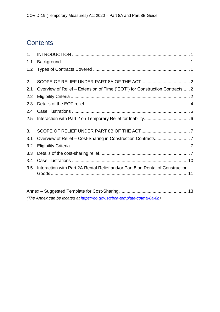### **Contents**

| 1 <sub>1</sub> |                                                                                |
|----------------|--------------------------------------------------------------------------------|
| 1.1            |                                                                                |
| 1.2            |                                                                                |
| 2.             |                                                                                |
| 2.1            | Overview of Relief – Extension of Time ("EOT") for Construction Contracts 2    |
| 2.2            |                                                                                |
| 2.3            |                                                                                |
| 2.4            |                                                                                |
| 2.5            |                                                                                |
| 3.             |                                                                                |
| 3.1            |                                                                                |
| 3.2            |                                                                                |
| 3.3            |                                                                                |
| 3.4            |                                                                                |
| 3.5            | Interaction with Part 2A Rental Relief and/or Part 8 on Rental of Construction |

Annex – Suggested Template for Cost-Sharing ....................................................... 13 *(The Annex can be located at [https://go.gov.sg/bca-template-cotma-8a-8b\)](about:blank)*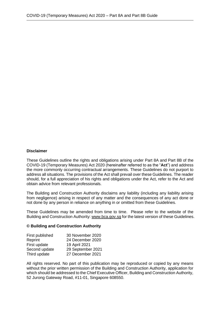#### **Disclaimer**

These Guidelines outline the rights and obligations arising under Part 8A and Part 8B of the COVID-19 (Temporary Measures) Act 2020 (hereinafter referred to as the "**Act**") and address the more commonly occurring contractual arrangements. These Guidelines do not purport to address all situations. The provisions of the Act shall prevail over these Guidelines. The reader should, for a full appreciation of his rights and obligations under the Act, refer to the Act and obtain advice from relevant professionals.

The Building and Construction Authority disclaims any liability (including any liability arising from negligence) arising in respect of any matter and the consequences of any act done or not done by any person in reliance on anything in or omitted from these Guidelines.

These Guidelines may be amended from time to time. Please refer to the website of the Building and Construction Authority[: www.bca.gov.sg](about:blank) for the latest version of these Guidelines.

#### **© Building and Construction Authority**

| 30 November 2020  |
|-------------------|
| 24 December 2020  |
| 19 April 2021     |
| 29 September 2021 |
| 27 December 2021  |
|                   |

All rights reserved. No part of this publication may be reproduced or copied by any means without the prior written permission of the Building and Construction Authority, application for which should be addressed to the Chief Executive Officer, Building and Construction Authority, 52 Jurong Gateway Road, #11-01, Singapore 608550.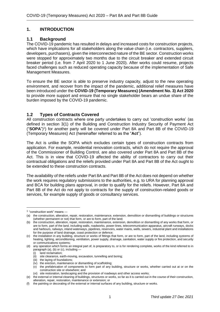#### <span id="page-3-0"></span>**1. INTRODUCTION**

#### **1.1 Background**

The COVID-19 pandemic has resulted in delays and increased costs for construction projects, which have implications for all stakeholders along the value chain (i.e. contractors, suppliers, developers, purchasers), given the interconnected nature of the BE sector. Construction works were stopped for approximately two months due to the circuit breaker and extended circuit breaker period (i.e. from 7 April 2020 to 1 June 2020). After works could resume, projects faced challenges such as reduced operating capacity because of the implementation of Safe Management Measures.

To ensure the BE sector is able to preserve industry capacity, adjust to the new operating environment, and recover from the impact of the pandemic, additional relief measures have been introduced under the **COVID-19 (Temporary Measures) (Amendment No. 3) Act 2020** to provide more support and ensure that no single stakeholder bears an undue share of the burden imposed by the COVID-19 pandemic.

#### **1.2 Types of Contracts Covered**

All construction contracts where one party undertakes to carry out 'construction works' (as defined in section 3(1) of the Building and Construction Industry Security of Payment Act ("**SOPA**") 1 ) for another party will be covered under Part 8A and Part 8B of the COVID-19 (Temporary Measures) Act (hereinafter referred to as the "**Act**").

The Act is unlike the SOPA which excludes certain types of construction contracts from application. For example, residential renovation contracts, which do not require the approval of the Commissioner of Building Control, are also covered under Part 8A and Part 8B of the Act. This is in view that COVID-19 affected the ability of contractors to carry out their contractual obligations and the reliefs provided under Part 8A and Part 8B of the Act ought to be extended to these construction contracts.

The availability of the reliefs under Part 8A and Part 8B of the Act does not depend on whether the work requires regulatory submissions to the authorities, e.g. to URA for planning approval and BCA for building plans approval, in order to qualify for the reliefs. However, Part 8A and Part 8B of the Act do not apply to contracts for the supply of construction-related goods or services, for example supply of goods or consultancy services.

<sup>1</sup> "construction work" means —

<sup>(</sup>a) the construction, alteration, repair, restoration, maintenance, extension, demolition or dismantling of buildings or structures (whether permanent or not) that form, or are to form, part of the land;

<sup>(</sup>b) the construction, alteration, repair, restoration, maintenance, extension, demolition or dismantling of any works that form, or are to form, part of the land, including walls, roadworks, power-lines, telecommunication apparatus, aircraft runways, docks and harbours, railways, inland waterways, pipelines, reservoirs, water mains, wells, sewers, industrial plant and installations for the purpose of land drainage, coast protection or defence;

<sup>(</sup>c) the installation in any building, structure or works of fittings that form, or are to form, part of the land, including systems of heating, lighting, airconditioning, ventilation, power supply, drainage, sanitation, water supply or fire protection, and security or communications systems;

<sup>(</sup>d) any operation which forms an integral part of, is preparatory to, or is for rendering complete, works of the kind referred to in paragraph (a), (b) or (c), including -

<sup>(</sup>i) land reclamation;

<sup>(</sup>ii) site clearance, earth-moving, excavation, tunnelling and boring;

<sup>(</sup>iii) the laying of foundations;

<sup>(</sup>iv) the erection, maintenance or dismantling of scaffolding;

<sup>(</sup>v) the prefabrication of components to form part of any building, structure or works, whether carried out at or on the construction site or elsewhere; and

<sup>(</sup>vi) site restoration, landscaping and the provision of roadways and other access works;

<sup>(</sup>e) the external or internal cleaning of buildings, structures or works, so far as it is carried out in the course of their construction, alteration, repair, restoration, maintenance or extension; or

<sup>(</sup>f) the painting or decorating of the external or internal surfaces of any building, structure or works.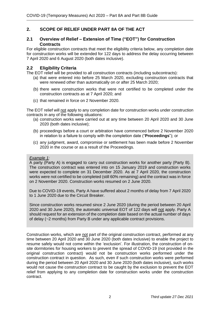#### **2. SCOPE OF RELIEF UNDER PART 8A OF THE ACT**

#### **2.1 Overview of Relief – Extension of Time ("EOT") for Construction Contracts**

For eligible construction contracts that meet the eligibility criteria below, any completion date for construction works will be extended for 122 days to address the delay occurring between 7 April 2020 and 6 August 2020 (both dates inclusive).

#### **2.2 Eligibility Criteria**

The EOT relief will be provided to all construction contracts (including subcontracts):

- (a) that were entered into before 25 March 2020, excluding construction contracts that were renewed other than automatically on or after 25 March 2020;
- (b) there were construction works that were not certified to be completed under the construction contracts as at 7 April 2020; and
- (c) that remained in force on 2 November 2020.

The EOT relief will not apply to any completion date for construction works under construction contracts in any of the following situations:

- (a) construction works were carried out at any time between 20 April 2020 and 30 June 2020 (both dates inclusive);
- (b) proceedings before a court or arbitration have commenced before 2 November 2020 in relation to a failure to comply with the completion date ("**Proceedings**"); or
- (c) any judgment, award, compromise or settlement has been made before 2 November 2020 in the course or as a result of the Proceedings.

#### *Example 1:*

A party (Party A) is engaged to carry out construction works for another party (Party B). The construction contract was entered into on 15 January 2019 and construction works were expected to complete on 31 December 2020. As at 7 April 2020, the construction works were not certified to be completed (still 60% remaining) and the contract was in force on 2 November 2020. Construction works resumed on 2 June 2020.

Due to COVID-19 events, Party A have suffered about 2 months of delay from 7 April 2020 to 1 June 2020 due to the Circuit Breaker.

Since construction works resumed since 2 June 2020 (during the period between 20 April 2020 and 30 June 2020), the automatic universal EOT of 122 days will not apply. Party A should request for an extension of the completion date based on the actual number of days of delay (~2 months) from Party B under any applicable contract provisions.

Construction works, which are not part of the original construction contract, performed at any time between 20 April 2020 and 30 June 2020 (both dates inclusive) to enable the project to resume safely would not come within the 'exclusion'. For illustration, the construction of onsite dormitories for housing workers to prevent the spread of COVID-19 (not provided in the original construction contract) would not be construction works performed under the construction contract in question. As such, even if such construction works were performed during the period between 20 April 2020 and 30 June 2020 (both dates inclusive), such works would not cause the construction contract to be caught by the exclusion to prevent the EOT relief from applying to any completion date for construction works under the construction contract.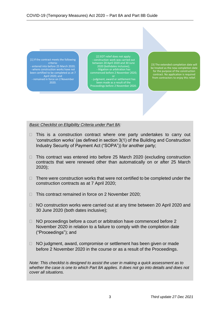[1] If the contract meets the following criteria: - entered into before 25 March 2020; been certified to be completed as at 7 April 2020; and - remained in force on 2 November 2020.

[2] EOT relief does not apply: - construction work was carried out between 20 April 2020 and 30 June - litigation or arbitration has commenced before 2 November 2020;

or - judgment, award or settlement has been made as a result of the Proceedings before 2 November 2020.

[3] The extended completion date will be treated as the new completion date for the purpose of the construction contract. No application is required from contractors to enjoy this relief.

*Basic Checklist on Eligibility Criteria under Part 8A:*

- $\Box$  This is a construction contract where one party undertakes to carry out 'construction works' (as defined in section 3(1) of the Building and Construction Industry Security of Payment Act ("SOPA")) for another party;
- $\Box$  This contract was entered into before 25 March 2020 (excluding construction contracts that were renewed other than automatically on or after 25 March 2020);
- $\Box$  There were construction works that were not certified to be completed under the construction contracts as at 7 April 2020;
- $\Box$  This contract remained in force on 2 November 2020;
- □ NO construction works were carried out at any time between 20 April 2020 and 30 June 2020 (both dates inclusive);
- $\Box$  NO proceedings before a court or arbitration have commenced before 2 November 2020 in relation to a failure to comply with the completion date ("Proceedings"); and
- $\Box$  NO judgment, award, compromise or settlement has been given or made before 2 November 2020 in the course or as a result of the Proceedings.

*Note: This checklist is designed to assist the user in making a quick assessment as to whether the case is one to which Part 8A applies. It does not go into details and does not cover all situations.*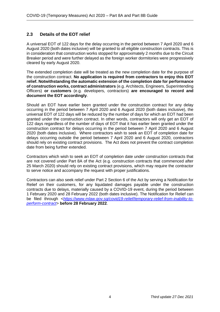#### **2.3 Details of the EOT relief**

A universal EOT of 122 days for the delay occurring in the period between 7 April 2020 and 6 August 2020 (both dates inclusive) will be granted to all eligible construction contracts. This is in consideration that construction works stopped for approximately 2 months due to the Circuit Breaker period and were further delayed as the foreign worker dormitories were progressively cleared by early August 2020.

The extended completion date will be treated as the new completion date for the purpose of the construction contract. **No application is required from contractors to enjoy this EOT relief. Notwithstanding the automatic extension of the completion date for performance of construction works, contract administrators** (e.g. Architects, Engineers, Superintending Officers) **or customers** (e.g. developers, contractors) **are encouraged to record and document the EOT accordingly**.

Should an EOT have earlier been granted under the construction contract for any delay occurring in the period between 7 April 2020 and 6 August 2020 (both dates inclusive), the universal EOT of 122 days will be reduced by the number of days for which an EOT had been granted under the construction contract. In other words, contractors will only get an EOT of 122 days regardless of the number of days of EOT that it has earlier been granted under the construction contract for delays occurring in the period between 7 April 2020 and 6 August 2020 (both dates inclusive). Where contractors wish to seek an EOT of completion date for delays occurring outside the period between 7 April 2020 and 6 August 2020, contractors should rely on existing contract provisions. The Act does not prevent the contract completion date from being further extended.

Contractors which wish to seek an EOT of completion date under construction contracts that are not covered under Part 8A of the Act (e.g. construction contracts that commenced after 25 March 2020) should rely on existing contract provisions, which may require the contractor to serve notice and accompany the request with proper justifications.

Contractors can also seek relief under Part 2 Section 6 of the Act by serving a Notification for Relief on their customers, for any liquidated damages payable under the construction contracts due to delays, materially caused by a COVID-19 event, during the period between 1 February 2020 and 28 February 2022 (both dates inclusive). The Notification for Relief can be filed through <*[https://www.mlaw.gov.sg/covid19-relief/temporary-relief-from-inability-to](about:blank)[perform-contract](about:blank)*> **before 28 February 2022**.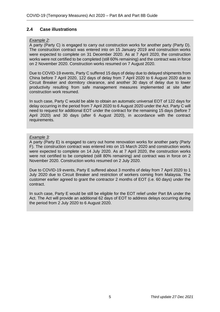#### **2.4 Case illustrations**

#### *Example 2:*

A party (Party C) is engaged to carry out construction works for another party (Party D). The construction contract was entered into on 15 January 2019 and construction works were expected to complete on 31 December 2020. As at 7 April 2020, the construction works were not certified to be completed (still 60% remaining) and the contract was in force on 2 November 2020. Construction works resumed on 7 August 2020.

Due to COVID-19 events, Party C suffered 15 days of delay due to delayed shipments from China before 7 April 2020, 122 days of delay from 7 April 2020 to 6 August 2020 due to Circuit Breaker and dormitory clearance, and another 30 days of delay due to lower productivity resulting from safe management measures implemented at site after construction work resumed.

In such case, Party C would be able to obtain an automatic universal EOT of 122 days for delay occurring in the period from 7 April 2020 to 6 August 2020 under the Act. Party C will need to request for additional EOT under the contract for the remaining 15 days (before 7 April 2020) and 30 days (after 6 August 2020), in accordance with the contract requirements.

#### *Example 3:*

A party (Party E) is engaged to carry out home renovation works for another party (Party F). The construction contract was entered into on 15 March 2020 and construction works were expected to complete on 14 July 2020. As at 7 April 2020, the construction works were not certified to be completed (still 80% remaining) and contract was in force on 2 November 2020. Construction works resumed on 2 July 2020.

Due to COVID-19 events, Party E suffered about 3 months of delay from 7 April 2020 to 1 July 2020 due to Circuit Breaker and restriction of workers coming from Malaysia. The customer earlier agreed to grant the contractor 2 months of EOT (i.e. 60 days) under the contract.

In such case, Party E would be still be eligible for the EOT relief under Part 8A under the Act. The Act will provide an additional 62 days of EOT to address delays occurring during the period from 2 July 2020 to 6 August 2020.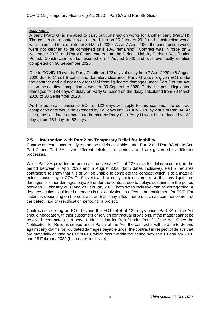#### *Example 4:*

A party (Party G) is engaged to carry out construction works for another party (Party H). The construction contract was entered into on 15 January 2019 and construction works were expected to complete on 30 March 2020. As at 7 April 2020, the construction works were not certified to be completed (still 10% remaining). Contract was in force on 2 November 2020, and Party G has entered into the Defects Liability Period / Rectification Period. Construction works resumed on 7 August 2020 and was eventually certified completed on 30 September 2020.

Due to COVID-19 events, Party G suffered 122 days of delay from 7 April 2020 to 6 August 2020 due to Circuit Breaker and dormitory clearance. Party G was not given EOT under the contract and did not apply for relief from liquidated damages under Part 2 of the Act. Upon the certified completion of work on 30 September 2020, Party H imposed liquidated damages for 184 days of delay on Party G, based on the delay calculated from 30 March 2020 to 30 September 2020.

As the automatic universal EOT of 122 days will apply to this scenario, the contract completion date would be extended by 122 days until 30 July 2020 by virtue of Part 8A. As such, the liquidated damages to be paid by Party G to Party H would be reduced by 122 days, from 184 days to 62 days.

#### **2.5 Interaction with Part 2 on Temporary Relief for Inability**

Contractors can concurrently tap on the reliefs available under Part 2 and Part 8A of the Act. Part 2 and Part 8A cover different reliefs, time periods, and are governed by different processes.

While Part 8A provides an automatic universal EOT of 122 days for delay occurring in the period between 7 April 2020 and 6 August 2020 (both dates inclusive), Part 2 requires contractors to show that it is or will be unable to complete the contract which is to a material extent caused by a COVID-19 event and to notify their customers so that any liquidated damages or other damages payable under the contract due to delays sustained in the period between 1 February 2020 and 28 February 2022 (both dates inclusive) can be disregarded. A defence against liquidated damages is not equivalent in effect to an entitlement for EOT. For instance, depending on the contract, an EOT may affect matters such as commencement of the defect liability / rectification period for a project.

Contractors seeking an EOT beyond the EOT relief of 122 days under Part 8A of the Act should negotiate with their customers or rely on contractual provisions. If the matter cannot be resolved, contractors can serve a Notification for Relief under Part 2 of the Act. Once the Notification for Relief is served under Part 2 of the Act, the contractor will be able to defend against any claims for liquidated damages payable under the contract in respect of delays that are materially caused by COVID-19, which occur within the period between 1 February 2020 and 28 February 2022 (both dates inclusive).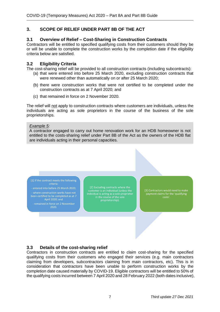#### **3. SCOPE OF RELIEF UNDER PART 8B OF THE ACT**

#### **3.1 Overview of Relief – Cost-Sharing in Construction Contracts**

Contractors will be entitled to specified qualifying costs from their customers should they be or will be unable to complete the construction works by the completion date if the eligibility criteria below are satisfied.

#### **3.2 Eligibility Criteria**

The cost-sharing relief will be provided to all construction contracts (including subcontracts):

- (a) that were entered into before 25 March 2020, excluding construction contracts that were renewed other than automatically on or after 25 March 2020;
- (b) there were construction works that were not certified to be completed under the construction contracts as at 7 April 2020; and
- (c) that remained in force on 2 November 2020.

The relief will not apply to construction contracts where customers are individuals, unless the individuals are acting as sole proprietors in the course of the business of the sole proprietorships.

#### *Example 5:*

A contractor engaged to carry out home renovation work for an HDB homeowner is not entitled to the costs-sharing relief under Part 8B of the Act as the owners of the HDB flat are individuals acting in their personal capacities.

[1] If the contract meets the following

- entered into before 25 March 2020;

where construction works have not been certified to be completed as at 7 April 2020; and

- remained in force on 2 November 2020.

[2] Excluding contracts where the customer is an individual (unless the in the course of the sole proprietorship).

[3] Contractors would need to make payment claims for the 'qualifying costs'.

#### **3.3 Details of the cost-sharing relief**

Contractors in construction contracts are entitled to claim cost-sharing for the specified qualifying costs from their customers who engaged their services (e.g. main contractors claiming from developers, subcontractors claiming from main contractors, etc). This is in consideration that contractors have been unable to perform construction works by the completion date caused materially by COVID-19. Eligible contractors will be entitled to 50% of the qualifying costs incurred between 7 April 2020 and 28 February 2022 (both dates inclusive),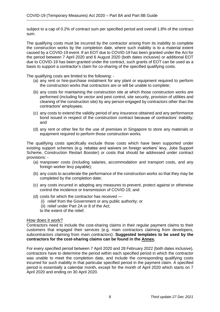subject to a cap of 0.2% of contract sum per specified period and overall 1.8% of the contract sum.

The qualifying costs must be incurred by the contractor arising from its inability to complete the construction works by the completion date, where such inability is to a material extent caused by a COVID-19 event. If an EOT due to COVID-19 has been granted under the Act for the period between 7 April 2020 and 6 August 2020 (both dates inclusive) or additional EOT due to COVID-19 has been granted under the contract, such grants of EOT can be used as a basis to support a contractor's claim for co-sharing of the specified qualifying costs.

The qualifying costs are limited to the following: -

- (a) any rent or hire-purchase instalment for any plant or equipment required to perform the construction works that contractors are or will be unable to complete;
- (b) any costs for maintaining the construction site at which those construction works are performed (including for vector and pest control, site security, provision of utilities and cleaning of the construction site) by any person engaged by contractors other than the contractors' employees;
- (c) any costs to extend the validity period of any insurance obtained and any performance bond issued in respect of the construction contract because of contractors' inability; and
- (d) any rent or other fee for the use of premises in Singapore to store any materials or equipment required to perform those construction works.

The qualifying costs specifically exclude those costs which have been supported under existing support schemes (e.g. rebates and waivers on foreign workers' levy, Jobs Support Scheme, Construction Restart Booster) or costs that should be addressed under contract provisions: -

- (a) manpower costs (including salaries, accommodation and transport costs, and any foreign worker levy payable);
- (b) any costs to accelerate the performance of the construction works so that they may be completed by the completion date;
- (c) any costs incurred in adopting any measures to prevent, protect against or otherwise control the incidence or transmission of COVID-19; and
- (d) costs for which the contractor has received
	- (i) relief from the Government or any public authority; or
	- (ii) relief under Part 2A or 8 of the Act;
	- to the extent of the relief.

#### How does it work?

Contractors need to include the cost-sharing claims in their regular payment claims to their customers that engaged their services (e.g. main contractors claiming from developers, subcontractors claiming from main contractors). **Suggested templates to be used by the contractors for the cost-sharing claims can be found in the Annex.**

For every specified period between 7 April 2020 and 28 February 2022 (both dates inclusive), contractors have to determine the period within each specified period in which the contractor was unable to meet the completion date, and include the corresponding qualifying costs incurred for such inability in that particular specified period in the payment claim. A specified period is essentially a calendar month, except for the month of April 2020 which starts on 7 April 2020 and ending on 30 April 2020.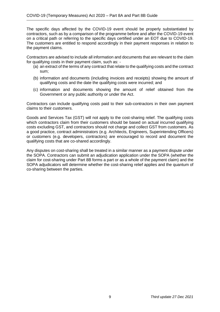The specific days affected by the COVID-19 event should be properly substantiated by contractors, such as by a comparison of the programme before and after the COVID-19 event on a critical path or referring to the specific days certified under an EOT due to COVID-19. The customers are entitled to respond accordingly in their payment responses in relation to the payment claims.

Contractors are advised to include all information and documents that are relevant to the claim for qualifying costs in their payment claim, such as: -

- (a) an extract of the terms of any contract that relate to the qualifying costs and the contract sum;
- (b) information and documents (including invoices and receipts) showing the amount of qualifying costs and the date the qualifying costs were incurred; and
- (c) information and documents showing the amount of relief obtained from the Government or any public authority or under the Act.

Contractors can include qualifying costs paid to their sub-contractors in their own payment claims to their customers.

Goods and Services Tax (GST) will not apply to the cost-sharing relief. The qualifying costs which contractors claim from their customers should be based on actual incurred qualifying costs excluding GST, and contractors should not charge and collect GST from customers. As a good practice, contract administrators (e.g. Architects, Engineers, Superintending Officers) or customers (e.g. developers, contractors) are encouraged to record and document the qualifying costs that are co-shared accordingly.

Any disputes on cost-sharing shall be treated in a similar manner as a payment dispute under the SOPA. Contractors can submit an adjudication application under the SOPA (whether the claim for cost-sharing under Part 8B forms a part or as a whole of the payment claim) and the SOPA adjudicators will determine whether the cost-sharing relief applies and the quantum of co-sharing between the parties.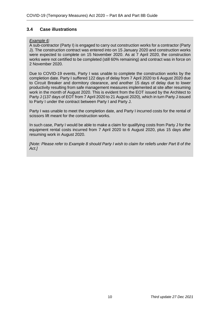#### **3.4 Case illustrations**

#### *Example 6:*

A sub-contractor (Party I) is engaged to carry out construction works for a contractor (Party J). The construction contract was entered into on 15 January 2020 and construction works were expected to complete on 15 November 2020. As at 7 April 2020, the construction works were not certified to be completed (still 60% remaining) and contract was in force on 2 November 2020.

Due to COVID-19 events, Party I was unable to complete the construction works by the completion date. Party I suffered 122 days of delay from 7 April 2020 to 6 August 2020 due to Circuit Breaker and dormitory clearance, and another 15 days of delay due to lower productivity resulting from safe management measures implemented at site after resuming work in the month of August 2020. This is evident from the EOT issued by the Architect to Party J (137 days of EOT from 7 April 2020 to 21 August 2020), which in turn Party J issued to Party I under the contract between Party I and Party J.

Party I was unable to meet the completion date, and Party I incurred costs for the rental of scissors lift meant for the construction works.

In such case, Party I would be able to make a claim for qualifying costs from Party J for the equipment rental costs incurred from 7 April 2020 to 6 August 2020, plus 15 days after resuming work in August 2020.

*[Note: Please refer to Example 8 should Party I wish to claim for reliefs under Part 8 of the Act.]*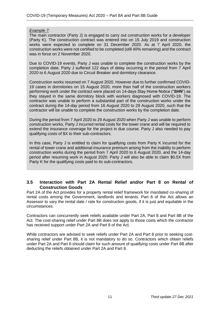#### *Example 7:*

The main contractor (Party J) is engaged to carry out construction works for a developer (Party K). The construction contract was entered into on 15 July 2019 and construction works were expected to complete on 31 December 2020. As at 7 April 2020, the construction works were not certified to be completed (still 40% remaining) and the contract was in force on 2 November 2020.

Due to COVID-19 events, Party J was unable to complete the construction works by the completion date. Party J suffered 122 days of delay occurring in the period from 7 April 2020 to 6 August 2020 due to Circuit Breaker and dormitory clearance.

Construction works resumed on 7 August 2020. However due to further confirmed COVID-19 cases in dormitories on 15 August 2020, more than half of the construction workers performing work under the contract were placed on 14-days Stay Home Notice ("**SHN**") as they stayed in the same dormitory block with workers diagnosed with COVID-19. The contractor was unable to perform a substantial part of the construction works under the contract during the 14-day period from 16 August 2020 to 29 August 2020, such that the contractor will be unable to complete the construction works by the completion date.

During the period from 7 April 2020 to 29 August 2020 when Party J was unable to perform construction works, Party J incurred rental costs for the tower crane and will be required to extend the insurance coverage for the project in due course. Party J also needed to pay qualifying costs of \$X to their sub-contractors.

In this case, Party J is entitled to claim for qualifying costs from Party K incurred for the rental of tower crane and additional insurance premium arising from the inability to perform construction works during the period from 7 April 2020 to 6 August 2020, and the 14-day period after resuming work in August 2020. Party J will also be able to claim \$0.5X from Party K for the qualifying costs paid to its sub-contractors.

#### **3.5 Interaction with Part 2A Rental Relief and/or Part 8 on Rental of Construction Goods**

Part 2A of the Act provides for a property rental relief framework for mandated co-sharing of rental costs among the Government, landlords and tenants. Part 8 of the Act allows an Assessor to vary the rental date / rate for construction goods, if it is just and equitable in the circumstances.

Contractors can concurrently seek reliefs available under Part 2A, Part 8 and Part 8B of the Act. The cost-sharing relief under Part 8B does not apply to those costs which the contractor has received support under Part 2A and Part 8 of the Act.

While contractors are advised to seek reliefs under Part 2A and Part 8 prior to seeking costsharing relief under Part 8B, it is not mandatory to do so. Contractors which obtain reliefs under Part 2A and Part 8 should claim for such amount of qualifying costs under Part 8B after deducting the reliefs obtained under Part 2A and Part 8.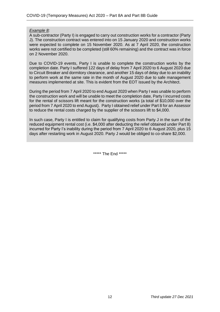#### *Example 8:*

A sub-contractor (Party I) is engaged to carry out construction works for a contractor (Party J). The construction contract was entered into on 15 January 2020 and construction works were expected to complete on 15 November 2020. As at 7 April 2020, the construction works were not certified to be completed (still 60% remaining) and the contract was in force on 2 November 2020.

Due to COVID-19 events, Party I is unable to complete the construction works by the completion date. Party I suffered 122 days of delay from 7 April 2020 to 6 August 2020 due to Circuit Breaker and dormitory clearance, and another 15 days of delay due to an inability to perform work at the same rate in the month of August 2020 due to safe management measures implemented at site. This is evident from the EOT issued by the Architect.

During the period from 7 April 2020 to end August 2020 when Party I was unable to perform the construction work and will be unable to meet the completion date, Party I incurred costs for the rental of scissors lift meant for the construction works (a total of \$10,000 over the period from 7 April 2020 to end August). Party I obtained relief under Part 8 for an Assessor to reduce the rental costs charged by the supplier of the scissors lift to \$4,000.

In such case, Party I is entitled to claim for qualifying costs from Party J in the sum of the reduced equipment rental cost (i.e. \$4,000 after deducting the relief obtained under Part 8) incurred for Party I's inability during the period from 7 April 2020 to 6 August 2020, plus 15 days after restarting work in August 2020. Party J would be obliged to co-share \$2,000.

\*\*\*\*\*\* The End \*\*\*\*\*